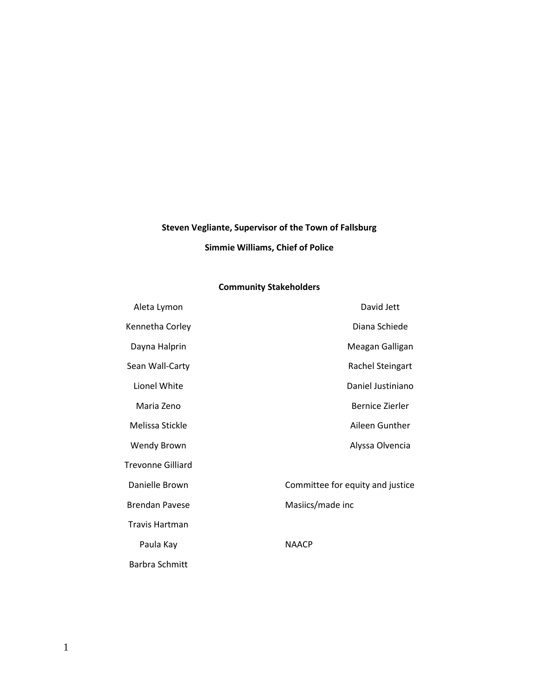# **Steven Vegliante, Supervisor of the Town of Fallsburg Simmie Williams, Chief of Police**

# **Community Stakeholders**

| Aleta Lymon           | David Jett                       |
|-----------------------|----------------------------------|
| Kennetha Corley       | Diana Schiede                    |
| Dayna Halprin         | Meagan Galligan                  |
| Sean Wall-Carty       | Rachel Steingart                 |
| Lionel White          | Daniel Justiniano                |
| Maria Zeno            | Bernice Zierler                  |
| Melissa Stickle       | Aileen Gunther                   |
| <b>Wendy Brown</b>    | Alyssa Olvencia                  |
| Trevonne Gilliard     |                                  |
| Danielle Brown        | Committee for equity and justice |
| <b>Brendan Pavese</b> | Masiics/made inc                 |
| <b>Travis Hartman</b> |                                  |
| Paula Kay             | <b>NAACP</b>                     |
| Barbra Schmitt        |                                  |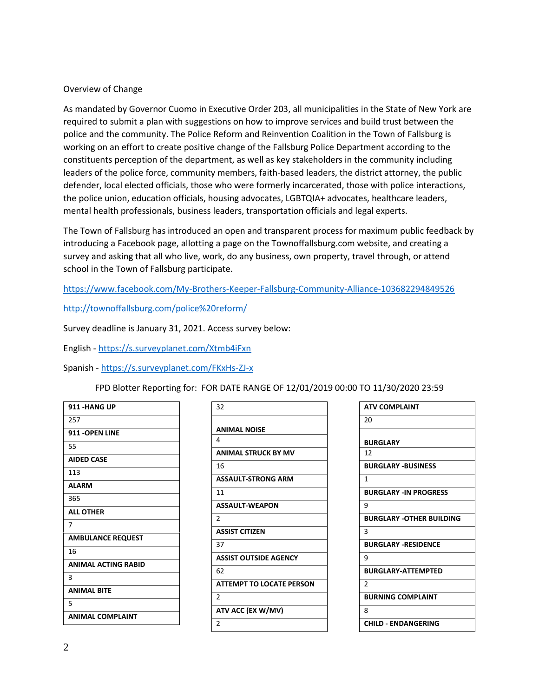## Overview of Change

As mandated by Governor Cuomo in Executive Order 203, all municipalities in the State of New York are required to submit a plan with suggestions on how to improve services and build trust between the police and the community. The Police Reform and Reinvention Coalition in the Town of Fallsburg is working on an effort to create positive change of the Fallsburg Police Department according to the constituents perception of the department, as well as key stakeholders in the community including leaders of the police force, community members, faith-based leaders, the district attorney, the public defender, local elected officials, those who were formerly incarcerated, those with police interactions, the police union, education officials, housing advocates, LGBTQIA+ advocates, healthcare leaders, mental health professionals, business leaders, transportation officials and legal experts.

The Town of Fallsburg has introduced an open and transparent process for maximum public feedback by introducing a Facebook page, allotting a page on the Townoffallsburg.com website, and creating a survey and asking that all who live, work, do any business, own property, travel through, or attend school in the Town of Fallsburg participate.

<https://www.facebook.com/My-Brothers-Keeper-Fallsburg-Community-Alliance-103682294849526>

<http://townoffallsburg.com/police%20reform/>

Survey deadline is January 31, 2021. Access survey below:

English - <https://s.surveyplanet.com/Xtmb4iFxn>

Spanish - <https://s.surveyplanet.com/FKxHs-ZJ-x>

# FPD Blotter Reporting for: FOR DATE RANGE OF 12/01/2019 00:00 TO 11/30/2020 23:59

| 911 -HANG UP               |
|----------------------------|
| 257                        |
| 911 - OPEN LINE            |
| 55                         |
| <b>AIDED CASE</b>          |
| 113                        |
| <b>ALARM</b>               |
| 365                        |
| <b>ALL OTHER</b>           |
| 7                          |
| <b>AMBULANCE REQUEST</b>   |
| 16                         |
| <b>ANIMAL ACTING RABID</b> |
| 3                          |
| <b>ANIMAL BITE</b>         |
| 5                          |
| <b>ANIMAL COMPLAINT</b>    |

| 32                              |
|---------------------------------|
|                                 |
| <b>ANIMAL NOISE</b>             |
| 4                               |
| <b>ANIMAL STRUCK BY MV</b>      |
| 16                              |
| <b>ASSAULT-STRONG ARM</b>       |
| 11                              |
| <b>ASSAULT-WEAPON</b>           |
| $\overline{2}$                  |
| <b>ASSIST CITIZEN</b>           |
| 37                              |
| <b>ASSIST OUTSIDE AGENCY</b>    |
| 62                              |
| <b>ATTEMPT TO LOCATE PERSON</b> |
| $\mathfrak{p}$                  |
| ATV ACC (EX W/MV)               |
| $\overline{2}$                  |
|                                 |

| <b>ATV COMPLAINT</b>            |
|---------------------------------|
| 20                              |
|                                 |
| <b>BURGLARY</b>                 |
| 12                              |
| <b>BURGLARY -BUSINESS</b>       |
| 1                               |
| <b>BURGLARY -IN PROGRESS</b>    |
| ٩                               |
| <b>BURGLARY -OTHER BUILDING</b> |
| 3                               |
| <b>BURGLARY -RESIDENCE</b>      |
| ٩                               |
| <b>BURGLARY-ATTEMPTED</b>       |
| $\mathfrak z$                   |
| <b>BURNING COMPLAINT</b>        |
| 8                               |
| CHILD - ENDANGERING             |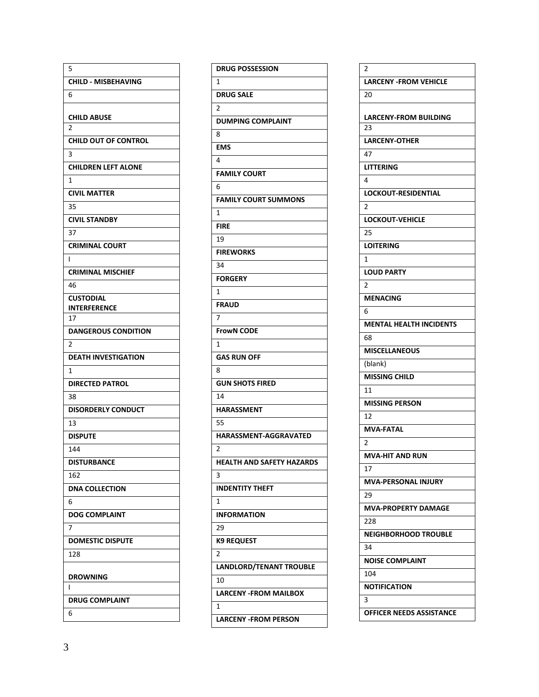| 5                                |
|----------------------------------|
| <b>CHILD - MISBEHAVING</b>       |
| 6                                |
|                                  |
| <b>CHILD ABUSE</b><br>2          |
| <b>CHILD OUT OF CONTROL</b>      |
| 3                                |
| <b>CHILDREN LEFT ALONE</b>       |
| 1                                |
| <b>CIVIL MATTER</b>              |
| 35                               |
| <b>CIVIL STANDBY</b>             |
| 37                               |
| <b>CRIMINAL COURT</b>            |
| ı                                |
| <b>CRIMINAL MISCHIEF</b>         |
| 46                               |
| <b>CUSTODIAL</b>                 |
| INTERFERENCE                     |
| 17<br><b>DANGEROUS CONDITION</b> |
| 2                                |
|                                  |
|                                  |
| <b>DEATH INVESTIGATION</b>       |
| 1                                |
| <b>DIRECTED PATROL</b>           |
| 38                               |
| <b>DISORDERLY CONDUCT</b>        |
| 13                               |
| <b>DISPUTE</b>                   |
| 144                              |
| DISTURBANCE                      |
| 162<br><b>DNA COLLECTION</b>     |
| 6                                |
| <b>DOG COMPLAINT</b>             |
| 7                                |
| <b>DOMESTIC DISPUTE</b>          |
| 128                              |
|                                  |
| DROWNING                         |
| ı                                |
| <b>DRUG COMPLAINT</b><br>6       |

| <b>DRUG POSSESSION</b>         |
|--------------------------------|
| 1                              |
| <b>DRUG SALE</b>               |
| 2                              |
| <b>DUMPING COMPLAINT</b>       |
| 8                              |
| <b>EMS</b>                     |
| 4                              |
| <b>FAMILY COURT</b>            |
| 6                              |
| <b>FAMILY COURT SUMMONS</b>    |
| 1                              |
| <b>FIRE</b>                    |
| 19                             |
| <b>FIREWORKS</b>               |
| 34                             |
| <b>FORGERY</b>                 |
| 1                              |
| <b>FRAUD</b>                   |
| 7                              |
| <b>FrowN CODE</b>              |
| 1                              |
| <b>GAS RUN OFF</b>             |
| 8                              |
| <b>GUN SHOTS FIRED</b>         |
| 14                             |
| <b>HARASSMENT</b>              |
| 55                             |
| <b>HARASSMENT-AGGRAVATED</b>   |
| $\overline{2}$                 |
| HEALIH AND SAFEIY HAZARDS      |
| 3                              |
| <b>INDENTITY THEFT</b>         |
| 1                              |
| <b>INFORMATION</b>             |
| 29                             |
| <b>K9 REQUEST</b>              |
| $\overline{\mathbf{c}}$        |
| <b>LANDLORD/TENANT TROUBLE</b> |
| 10                             |
| <b>LARCENY - FROM MAILBOX</b>  |
| 1                              |
| <b>LARCENY -FROM PERSON</b>    |
|                                |

| 2                                  |
|------------------------------------|
| <b>LARCENY - FROM VEHICLE</b>      |
| 20                                 |
|                                    |
| <b>LARCENY-FROM BUILDING</b><br>23 |
| <b>LARCENY-OTHER</b>               |
| 47                                 |
| <b>LITTERING</b>                   |
| 4                                  |
| <b>LOCKOUT-RESIDENTIAL</b>         |
| 2                                  |
| <b>LOCKOUT-VEHICLE</b>             |
| 25                                 |
| <b>LOITERING</b>                   |
| 1                                  |
| <b>LOUD PARTY</b>                  |
| $\overline{2}$                     |
| <b>MENACING</b>                    |
| 6                                  |
| <b>MENTAL HEALTH INCIDENTS</b>     |
| 68                                 |
| <b>MISCELLANEOUS</b>               |
| (blank)                            |
| <b>MISSING CHILD</b>               |
| 11                                 |
| <b>MISSING PERSON</b>              |
| 12                                 |
| <b>MVA-FATAL</b>                   |
| 2                                  |
| <b>MVA-HIT AND RUN</b>             |
| 17                                 |
| <b>MVA-PERSONAL INJURY</b>         |
| 29                                 |
| <b>MVA-PROPERTY DAMAGE</b>         |
| 228                                |
| <b>NEIGHBORHOOD TROUBLE</b>        |
| 34                                 |
| <b>NOISE COMPLAINT</b>             |
| 104                                |
| <b>NOTIFICATION</b>                |
| 3                                  |
| <b>OFFICER NEEDS ASSISTANCE</b>    |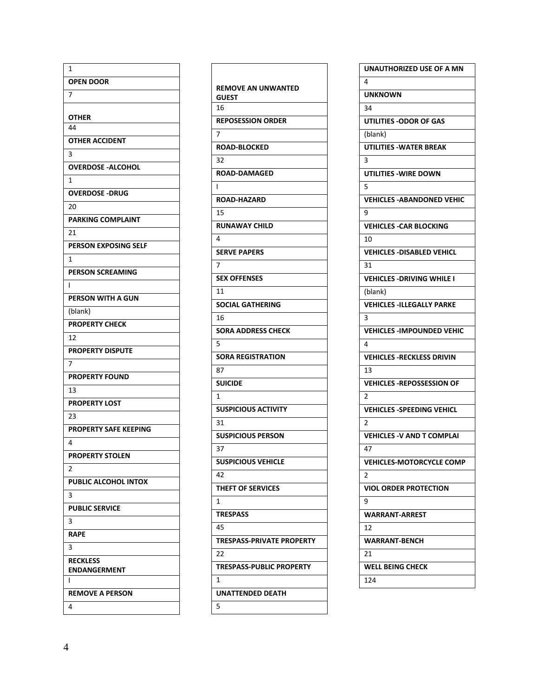| 1                            |
|------------------------------|
| <b>OPEN DOOR</b>             |
| 7                            |
|                              |
| OTHER<br>44                  |
| <b>OTHER ACCIDENT</b>        |
| 3                            |
| <b>OVERDOSE - ALCOHOL</b>    |
| 1                            |
| <b>OVERDOSE -DRUG</b>        |
| 20                           |
| <b>PARKING COMPLAINT</b>     |
| 21                           |
| <b>PERSON EXPOSING SELF</b>  |
| 1                            |
| <b>PERSON SCREAMING</b>      |
| I                            |
| PERSON WITH A GUN            |
| (blank)                      |
| <b>PROPERTY CHECK</b>        |
| 12                           |
| <b>PROPERTY DISPUTE</b>      |
| 7                            |
| <b>PROPERTY FOUND</b>        |
| 13                           |
| <b>PROPERTY LOST</b>         |
| 23                           |
| <b>PROPERTY SAFE KEEPING</b> |
| 4                            |
| <b>PROPERTY STOLEN</b>       |
| $\overline{2}$               |
| <b>PUBLIC ALCOHOL INTOX</b>  |
| 3                            |
| <b>PUBLIC SERVICE</b>        |
| з                            |
| <b>RAPE</b>                  |
| 3                            |
| <b>RECKLESS</b>              |
| <b>ENDANGERMENT</b><br>ı     |
| <b>REMOVE A PERSON</b>       |
| 4                            |
|                              |

| <b>REMOVE AN UNWANTED</b>        |
|----------------------------------|
| <b>GUEST</b>                     |
| 16                               |
| <b>REPOSESSION ORDER</b>         |
| $\overline{7}$                   |
| <b>ROAD-BLOCKED</b>              |
| 32                               |
| <b>ROAD-DAMAGED</b>              |
| $\mathsf{l}$                     |
| <b>ROAD-HAZARD</b>               |
| 15                               |
| <b>RUNAWAY CHILD</b>             |
| 4                                |
| <b>SERVE PAPERS</b>              |
| 7                                |
| <b>SEX OFFENSES</b>              |
| 11                               |
| <b>SOCIAL GATHERING</b>          |
| 16                               |
| <b>SORA ADDRESS CHECK</b>        |
| 5                                |
| <b>SORA REGISTRATION</b>         |
| 87                               |
| <b>SUICIDE</b>                   |
| 1                                |
| <b>SUSPICIOUS ACTIVITY</b>       |
| 31                               |
| <b>SUSPICIOUS PERSON</b>         |
| 37                               |
| <b>SUSPICIOUS VEHICLE</b>        |
| 42                               |
| <b>THEFT OF SERVICES</b>         |
| 1                                |
| <b>TRESPASS</b>                  |
| 45                               |
| <b>TRESPASS-PRIVATE PROPERTY</b> |
| 22                               |
| <b>TRESPASS-PUBLIC PROPERTY</b>  |
| 1                                |
| <b>UNATTENDED DEATH</b>          |
| 5                                |

| UNAUTHORIZED USE OF A MN          |
|-----------------------------------|
| 4                                 |
| <b>UNKNOWN</b>                    |
| 34                                |
| UTILITIES - ODOR OF GAS           |
| (blank)                           |
| <b>UTILITIES - WATER BREAK</b>    |
| 3                                 |
| UTILITIES -WIRE DOWN              |
| 5                                 |
| <b>VEHICLES - ABANDONED VEHIC</b> |
| 9                                 |
| <b>VEHICLES - CAR BLOCKING</b>    |
| 10                                |
| <b>VEHICLES -DISABLED VEHICL</b>  |
| 31                                |
| <b>VEHICLES -DRIVING WHILE I</b>  |
| (blank)                           |
| <b>VEHICLES -ILLEGALLY PARKE</b>  |
| 3                                 |
| <b>VEHICLES - IMPOUNDED VEHIC</b> |
| 4                                 |
| <b>VEHICLES - RECKLESS DRIVIN</b> |
| 13                                |
| <b>VEHICLES -REPOSSESSION OF</b>  |
| 2                                 |
| <b>VEHICLES -SPEEDING VEHICL</b>  |
| 2                                 |
| <b>VEHICLES - V AND T COMPLAI</b> |
| 47                                |
| <b>VEHICLES-MOTORCYCLE COMP</b>   |
| 2                                 |
| <b>VIOL ORDER PROTECTION</b>      |
| 9                                 |
| <b>WARRANT-ARREST</b>             |
| 12                                |
| <b>WARRANT-BENCH</b>              |
| 21                                |
| <b>WELL BEING CHECK</b>           |
| 124                               |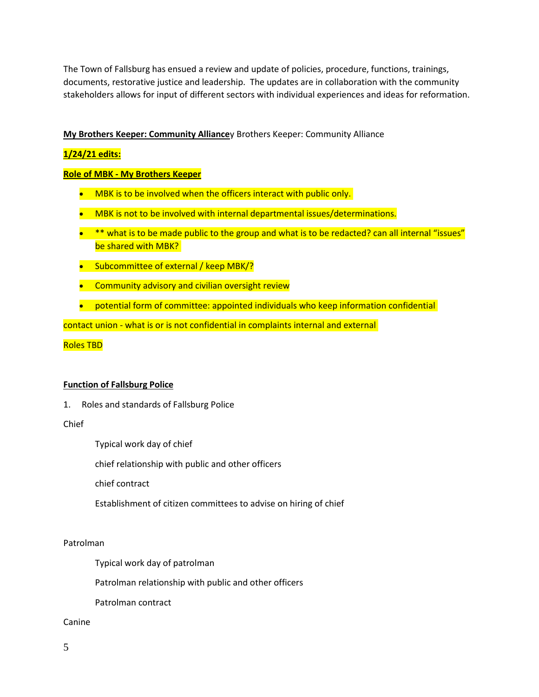The Town of Fallsburg has ensued a review and update of policies, procedure, functions, trainings, documents, restorative justice and leadership. The updates are in collaboration with the community stakeholders allows for input of different sectors with individual experiences and ideas for reformation.

#### **My Brothers Keeper: Community Alliance**y Brothers Keeper: Community Alliance

## **1/24/21 edits:**

#### **Role of MBK - My Brothers Keeper**

- MBK is to be involved when the officers interact with public only.
- MBK is not to be involved with internal departmental issues/determinations.
- \*\* what is to be made public to the group and what is to be redacted? can all internal "issues" be shared with MBK?
- Subcommittee of external / keep MBK/?
- **•** Community advisory and civilian oversight review
- potential form of committee: appointed individuals who keep information confidential

contact union - what is or is not confidential in complaints internal and external

Roles TBD

#### **Function of Fallsburg Police**

1. Roles and standards of Fallsburg Police

#### Chief

Typical work day of chief

chief relationship with public and other officers

chief contract

Establishment of citizen committees to advise on hiring of chief

#### Patrolman

Typical work day of patrolman

Patrolman relationship with public and other officers

Patrolman contract

Canine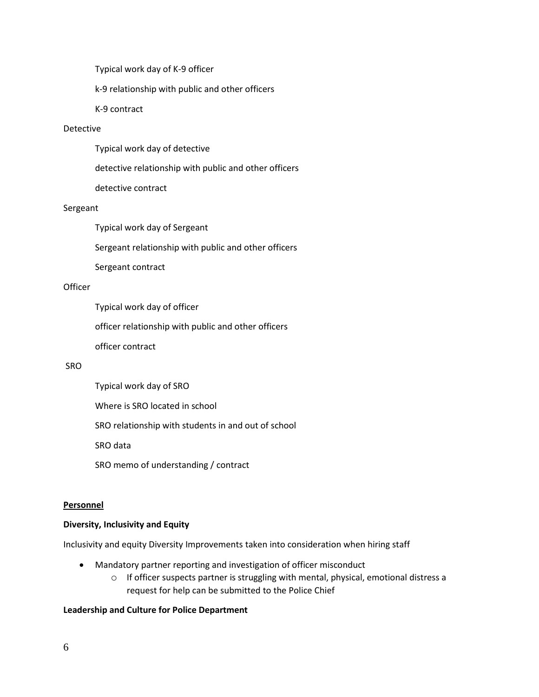Typical work day of K-9 officer

k-9 relationship with public and other officers

K-9 contract

#### Detective

Typical work day of detective

detective relationship with public and other officers

detective contract

#### Sergeant

Typical work day of Sergeant

Sergeant relationship with public and other officers

Sergeant contract

#### **Officer**

Typical work day of officer

officer relationship with public and other officers

officer contract

#### SRO

Typical work day of SRO

Where is SRO located in school

SRO relationship with students in and out of school

SRO data

SRO memo of understanding / contract

#### **Personnel**

#### **Diversity, Inclusivity and Equity**

Inclusivity and equity Diversity Improvements taken into consideration when hiring staff

- Mandatory partner reporting and investigation of officer misconduct
	- o If officer suspects partner is struggling with mental, physical, emotional distress a request for help can be submitted to the Police Chief

## **Leadership and Culture for Police Department**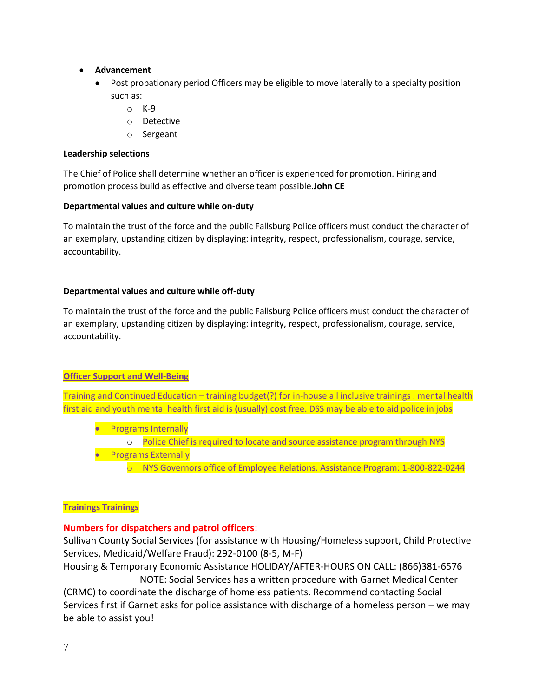- **Advancement**
	- Post probationary period Officers may be eligible to move laterally to a specialty position such as:
		- $\circ$  K-9
		- o Detective
		- o Sergeant

#### **Leadership selections**

The Chief of Police shall determine whether an officer is experienced for promotion. Hiring and promotion process build as effective and diverse team possible.**John CE**

#### **Departmental values and culture while on-duty**

To maintain the trust of the force and the public Fallsburg Police officers must conduct the character of an exemplary, upstanding citizen by displaying: integrity, respect, professionalism, courage, service, accountability.

#### **Departmental values and culture while off-duty**

To maintain the trust of the force and the public Fallsburg Police officers must conduct the character of an exemplary, upstanding citizen by displaying: integrity, respect, professionalism, courage, service, accountability.

#### **Officer Support and Well-Being**

Training and Continued Education – training budget(?) for in-house all inclusive trainings . mental health first aid and youth mental health first aid is (usually) cost free. DSS may be able to aid police in jobs

- Programs Internally
	- o Police Chief is required to locate and source assistance program through NYS
- **•** Programs Externally
	- o NYS Governors office of Employee Relations. Assistance Program: 1-800-822-0244

#### **Trainings Trainings**

# **Numbers for dispatchers and patrol officers**:

Sullivan County Social Services (for assistance with Housing/Homeless support, Child Protective Services, Medicaid/Welfare Fraud): 292-0100 (8-5, M-F)

Housing & Temporary Economic Assistance HOLIDAY/AFTER-HOURS ON CALL: (866)381-6576 NOTE: Social Services has a written procedure with Garnet Medical Center

(CRMC) to coordinate the discharge of homeless patients. Recommend contacting Social Services first if Garnet asks for police assistance with discharge of a homeless person – we may be able to assist you!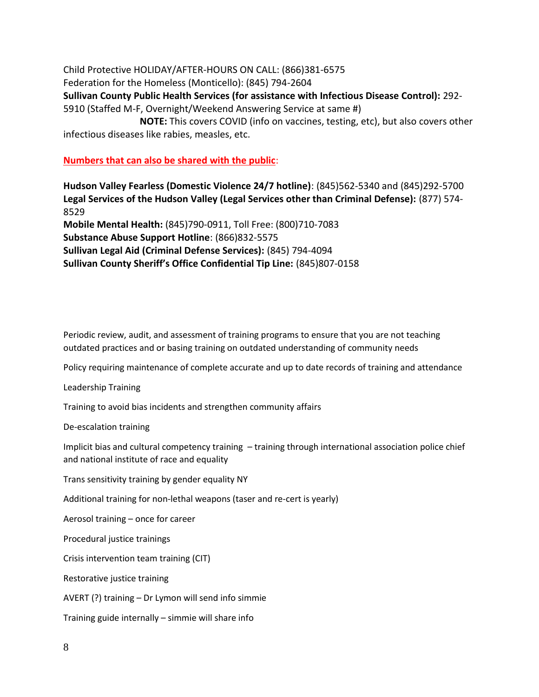Child Protective HOLIDAY/AFTER-HOURS ON CALL: (866)381-6575 Federation for the Homeless (Monticello): (845) 794-2604 **Sullivan County Public Health Services (for assistance with Infectious Disease Control):** 292- 5910 (Staffed M-F, Overnight/Weekend Answering Service at same #) **NOTE:** This covers COVID (info on vaccines, testing, etc), but also covers other infectious diseases like rabies, measles, etc.

#### **Numbers that can also be shared with the public**:

**Hudson Valley Fearless (Domestic Violence 24/7 hotline)**: (845)562-5340 and (845)292-5700 **Legal Services of the Hudson Valley (Legal Services other than Criminal Defense):** (877) 574- 8529

**Mobile Mental Health:** (845)790-0911, Toll Free: (800)710-7083 **Substance Abuse Support Hotline**: (866)832-5575 **Sullivan Legal Aid (Criminal Defense Services):** (845) 794-4094 **Sullivan County Sheriff's Office Confidential Tip Line:** (845)807-0158

Periodic review, audit, and assessment of training programs to ensure that you are not teaching outdated practices and or basing training on outdated understanding of community needs

Policy requiring maintenance of complete accurate and up to date records of training and attendance

Leadership Training

Training to avoid bias incidents and strengthen community affairs

De-escalation training

Implicit bias and cultural competency training – training through international association police chief and national institute of race and equality

Trans sensitivity training by gender equality NY

Additional training for non-lethal weapons (taser and re-cert is yearly)

Aerosol training – once for career

Procedural justice trainings

Crisis intervention team training (CIT)

Restorative justice training

AVERT (?) training – Dr Lymon will send info simmie

Training guide internally – simmie will share info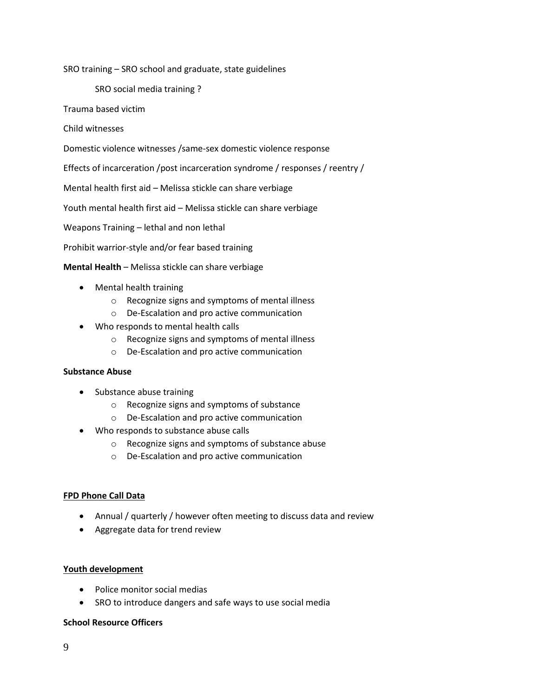SRO training – SRO school and graduate, state guidelines

SRO social media training ?

Trauma based victim

Child witnesses

Domestic violence witnesses /same-sex domestic violence response

Effects of incarceration /post incarceration syndrome / responses / reentry /

Mental health first aid – Melissa stickle can share verbiage

Youth mental health first aid – Melissa stickle can share verbiage

Weapons Training – lethal and non lethal

Prohibit warrior-style and/or fear based training

**Mental Health** – Melissa stickle can share verbiage

- Mental health training
	- o Recognize signs and symptoms of mental illness
	- o De-Escalation and pro active communication
- Who responds to mental health calls
	- o Recognize signs and symptoms of mental illness
	- o De-Escalation and pro active communication

#### **Substance Abuse**

- Substance abuse training
	- o Recognize signs and symptoms of substance
	- o De-Escalation and pro active communication
- Who responds to substance abuse calls
	- o Recognize signs and symptoms of substance abuse
	- o De-Escalation and pro active communication

#### **FPD Phone Call Data**

- Annual / quarterly / however often meeting to discuss data and review
- Aggregate data for trend review

#### **Youth development**

- Police monitor social medias
- SRO to introduce dangers and safe ways to use social media

#### **School Resource Officers**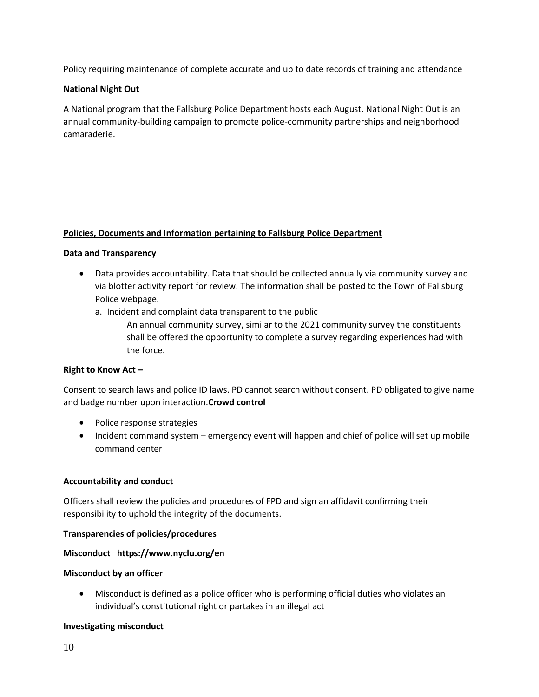Policy requiring maintenance of complete accurate and up to date records of training and attendance

## **National Night Out**

A National program that the Fallsburg Police Department hosts each August. National Night Out is an annual community-building campaign to promote police-community partnerships and neighborhood camaraderie.

## **Policies, Documents and Information pertaining to Fallsburg Police Department**

#### **Data and Transparency**

- Data provides accountability. Data that should be collected annually via community survey and via blotter activity report for review. The information shall be posted to the Town of Fallsburg Police webpage.
	- a. Incident and complaint data transparent to the public
		- An annual community survey, similar to the 2021 community survey the constituents shall be offered the opportunity to complete a survey regarding experiences had with the force.

#### **Right to Know Act –**

Consent to search laws and police ID laws. PD cannot search without consent. PD obligated to give name and badge number upon interaction.**Crowd control**

- Police response strategies
- Incident command system emergency event will happen and chief of police will set up mobile command center

#### **Accountability and conduct**

Officers shall review the policies and procedures of FPD and sign an affidavit confirming their responsibility to uphold the integrity of the documents.

#### **Transparencies of policies/procedures**

#### **Misconduct <https://www.nyclu.org/en>**

#### **Misconduct by an officer**

 Misconduct is defined as a police officer who is performing official duties who violates an individual's constitutional right or partakes in an illegal act

#### **Investigating misconduct**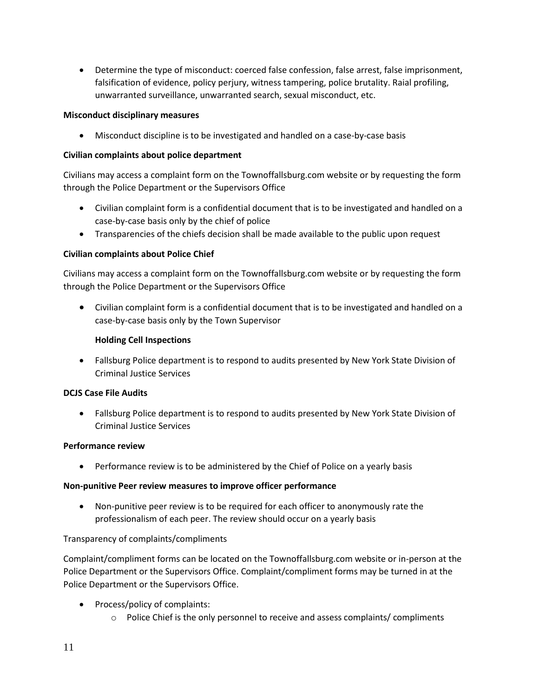Determine the type of misconduct: coerced false confession, false arrest, false imprisonment, falsification of evidence, policy perjury, witness tampering, police brutality. Raial profiling, unwarranted surveillance, unwarranted search, sexual misconduct, etc.

## **Misconduct disciplinary measures**

Misconduct discipline is to be investigated and handled on a case-by-case basis

## **Civilian complaints about police department**

Civilians may access a complaint form on the Townoffallsburg.com website or by requesting the form through the Police Department or the Supervisors Office

- Civilian complaint form is a confidential document that is to be investigated and handled on a case-by-case basis only by the chief of police
- Transparencies of the chiefs decision shall be made available to the public upon request

## **Civilian complaints about Police Chief**

Civilians may access a complaint form on the Townoffallsburg.com website or by requesting the form through the Police Department or the Supervisors Office

 Civilian complaint form is a confidential document that is to be investigated and handled on a case-by-case basis only by the Town Supervisor

## **Holding Cell Inspections**

 Fallsburg Police department is to respond to audits presented by New York State Division of Criminal Justice Services

#### **DCJS Case File Audits**

 Fallsburg Police department is to respond to audits presented by New York State Division of Criminal Justice Services

#### **Performance review**

Performance review is to be administered by the Chief of Police on a yearly basis

#### **Non-punitive Peer review measures to improve officer performance**

 Non-punitive peer review is to be required for each officer to anonymously rate the professionalism of each peer. The review should occur on a yearly basis

# Transparency of complaints/compliments

Complaint/compliment forms can be located on the Townoffallsburg.com website or in-person at the Police Department or the Supervisors Office. Complaint/compliment forms may be turned in at the Police Department or the Supervisors Office.

- Process/policy of complaints:
	- $\circ$  Police Chief is the only personnel to receive and assess complaints/ compliments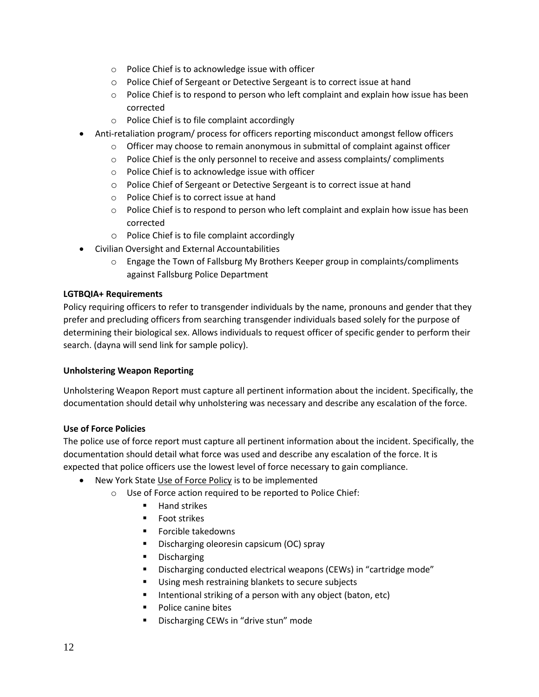- o Police Chief is to acknowledge issue with officer
- o Police Chief of Sergeant or Detective Sergeant is to correct issue at hand
- $\circ$  Police Chief is to respond to person who left complaint and explain how issue has been corrected
- o Police Chief is to file complaint accordingly
- Anti-retaliation program/ process for officers reporting misconduct amongst fellow officers
	- $\circ$  Officer may choose to remain anonymous in submittal of complaint against officer
	- o Police Chief is the only personnel to receive and assess complaints/ compliments
	- o Police Chief is to acknowledge issue with officer
	- o Police Chief of Sergeant or Detective Sergeant is to correct issue at hand
	- o Police Chief is to correct issue at hand
	- $\circ$  Police Chief is to respond to person who left complaint and explain how issue has been corrected
	- o Police Chief is to file complaint accordingly
- Civilian Oversight and External Accountabilities
	- $\circ$  Engage the Town of Fallsburg My Brothers Keeper group in complaints/compliments against Fallsburg Police Department

#### **LGTBQIA+ Requirements**

Policy requiring officers to refer to transgender individuals by the name, pronouns and gender that they prefer and precluding officers from searching transgender individuals based solely for the purpose of determining their biological sex. Allows individuals to request officer of specific gender to perform their search. (dayna will send link for sample policy).

#### **Unholstering Weapon Reporting**

Unholstering Weapon Report must capture all pertinent information about the incident. Specifically, the documentation should detail why unholstering was necessary and describe any escalation of the force.

#### **Use of Force Policies**

The police use of force report must capture all pertinent information about the incident. Specifically, the documentation should detail what force was used and describe any escalation of the force. It is expected that police officers use the lowest level of force necessary to gain compliance.

- New York State [Use of Force Policy](https://www.criminaljustice.ny.gov/crimnet/ojsa/crimereporting/MPTC-Model-Policy-Use-of-Force-2019.pdf?fbclid=IwAR1rfdEhq5t1_PhtzMBAs5F-liB1wrP81Fpi44Ol2qJ-wHZccUfePmtsIJE) is to be implemented
	- o Use of Force action required to be reported to Police Chief:
		- **Hand strikes**
		- **Foot strikes**
		- **Forcible takedowns**
		- Discharging oleoresin capsicum (OC) spray
		- **Discharging**
		- Discharging conducted electrical weapons (CEWs) in "cartridge mode"
		- Using mesh restraining blankets to secure subjects
		- Intentional striking of a person with any object (baton, etc)
		- Police canine bites
		- Discharging CEWs in "drive stun" mode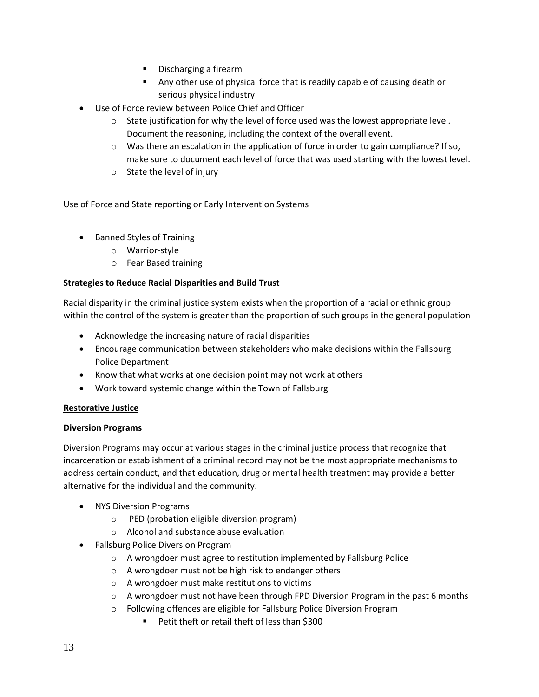- **Discharging a firearm**
- Any other use of physical force that is readily capable of causing death or serious physical industry
- Use of Force review between Police Chief and Officer
	- $\circ$  State justification for why the level of force used was the lowest appropriate level. Document the reasoning, including the context of the overall event.
	- $\circ$  Was there an escalation in the application of force in order to gain compliance? If so, make sure to document each level of force that was used starting with the lowest level.
	- o State the level of injury

Use of Force and State reporting or Early Intervention Systems

- Banned Styles of Training
	- o Warrior-style
	- o Fear Based training

#### **Strategies to Reduce Racial Disparities and Build Trust**

Racial disparity in the criminal justice system exists when the proportion of a racial or ethnic group within the control of the system is greater than the proportion of such groups in the general population

- Acknowledge the increasing nature of racial disparities
- Encourage communication between stakeholders who make decisions within the Fallsburg Police Department
- Know that what works at one decision point may not work at others
- Work toward systemic change within the Town of Fallsburg

#### **Restorative Justice**

#### **Diversion Programs**

Diversion Programs may occur at various stages in the criminal justice process that recognize that incarceration or establishment of a criminal record may not be the most appropriate mechanisms to address certain conduct, and that education, drug or mental health treatment may provide a better alternative for the individual and the community.

- NYS Diversion Programs
	- o PED (probation eligible diversion program)
	- o Alcohol and substance abuse evaluation
- Fallsburg Police Diversion Program
	- o A wrongdoer must agree to restitution implemented by Fallsburg Police
	- o A wrongdoer must not be high risk to endanger others
	- o A wrongdoer must make restitutions to victims
	- $\circ$  A wrongdoer must not have been through FPD Diversion Program in the past 6 months
	- o Following offences are eligible for Fallsburg Police Diversion Program
		- Petit theft or retail theft of less than \$300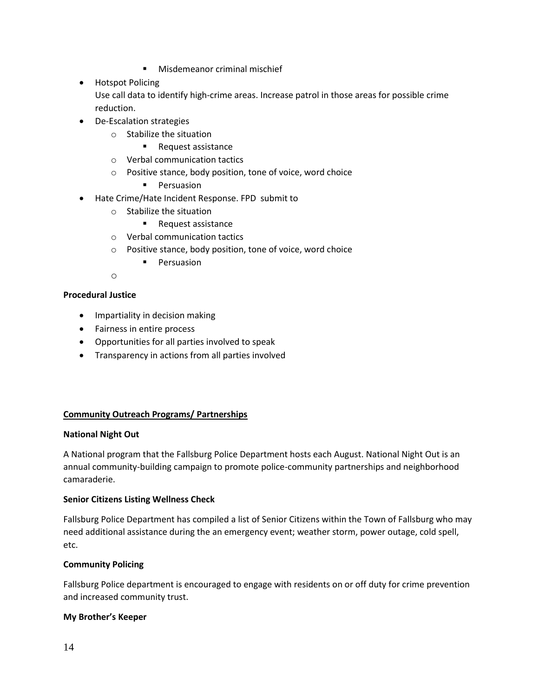- **Misdemeanor criminal mischief**
- **•** Hotspot Policing Use call data to identify high-crime areas. Increase patrol in those areas for possible crime reduction.
- De-Escalation strategies
	- o Stabilize the situation
		- Request assistance
	- o Verbal communication tactics
	- o Positive stance, body position, tone of voice, word choice
		- **Persuasion**
- Hate Crime/Hate Incident Response. FPD submit to
	- o Stabilize the situation
		- Request assistance
	- o Verbal communication tactics
	- o Positive stance, body position, tone of voice, word choice
		- **Persuasion**
	- o

## **Procedural Justice**

- Impartiality in decision making
- Fairness in entire process
- Opportunities for all parties involved to speak
- Transparency in actions from all parties involved

#### **Community Outreach Programs/ Partnerships**

#### **National Night Out**

A National program that the Fallsburg Police Department hosts each August. National Night Out is an annual community-building campaign to promote police-community partnerships and neighborhood camaraderie.

#### **Senior Citizens Listing Wellness Check**

Fallsburg Police Department has compiled a list of Senior Citizens within the Town of Fallsburg who may need additional assistance during the an emergency event; weather storm, power outage, cold spell, etc.

#### **Community Policing**

Fallsburg Police department is encouraged to engage with residents on or off duty for crime prevention and increased community trust.

#### **My Brother's Keeper**